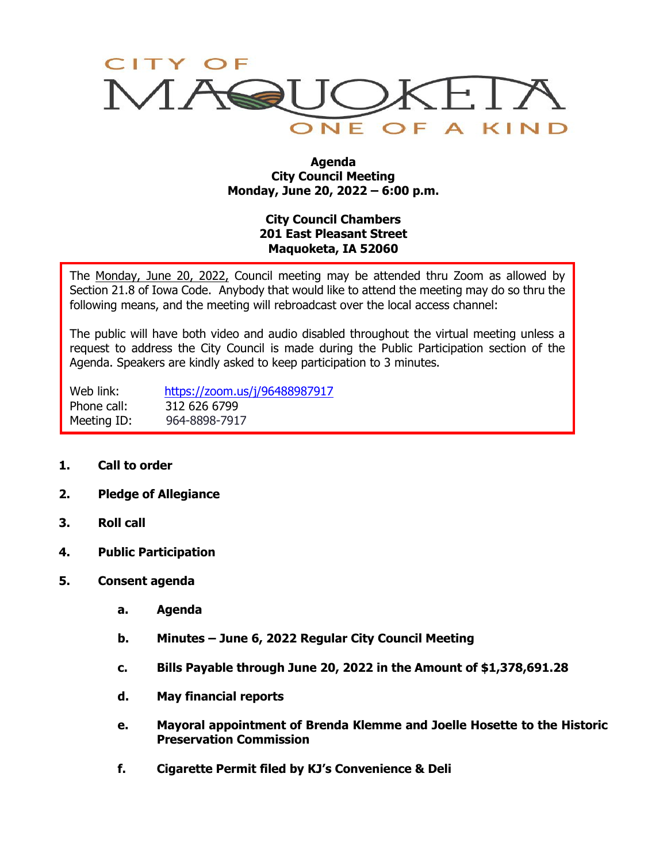

#### **Agenda City Council Meeting Monday, June 20, 2022 – 6:00 p.m.**

# **City Council Chambers 201 East Pleasant Street Maquoketa, IA 52060**

The Monday, June 20, 2022, Council meeting may be attended thru Zoom as allowed by Section 21.8 of Iowa Code. Anybody that would like to attend the meeting may do so thru the following means, and the meeting will rebroadcast over the local access channel:

The public will have both video and audio disabled throughout the virtual meeting unless a request to address the City Council is made during the Public Participation section of the Agenda. Speakers are kindly asked to keep participation to 3 minutes.

Web link: <https://zoom.us/j/96488987917> Phone call: 312 626 6799 Meeting ID: 964-8898-7917

- **1. Call to order**
- **2. Pledge of Allegiance**
- **3. Roll call**
- **4. Public Participation**
- **5. Consent agenda**
	- **a. Agenda**
	- **b. Minutes – June 6, 2022 Regular City Council Meeting**
	- **c. Bills Payable through June 20, 2022 in the Amount of \$1,378,691.28**
	- **d. May financial reports**
	- **e. Mayoral appointment of Brenda Klemme and Joelle Hosette to the Historic Preservation Commission**
	- **f. Cigarette Permit filed by KJ's Convenience & Deli**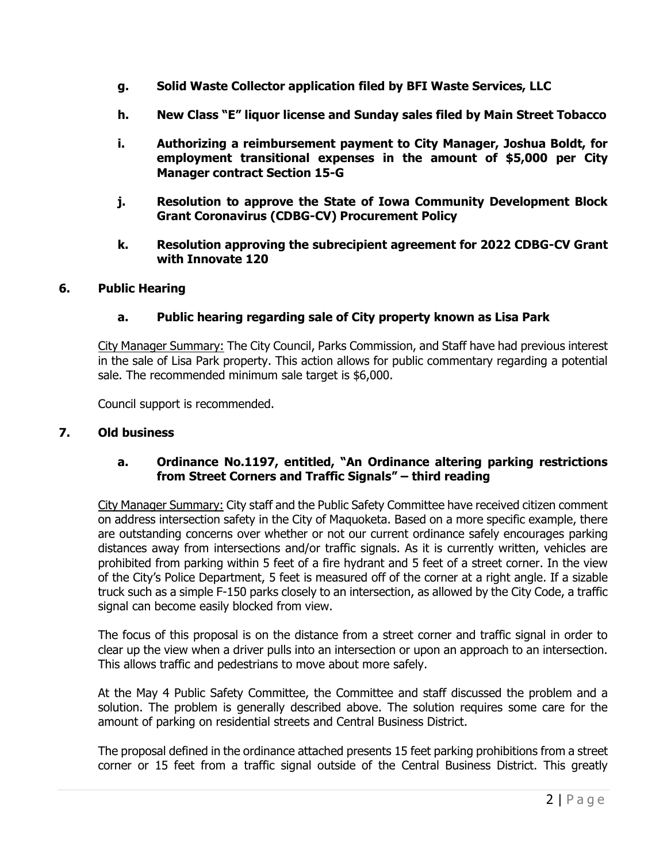- **g. Solid Waste Collector application filed by BFI Waste Services, LLC**
- **h. New Class "E" liquor license and Sunday sales filed by Main Street Tobacco**
- **i. Authorizing a reimbursement payment to City Manager, Joshua Boldt, for employment transitional expenses in the amount of \$5,000 per City Manager contract Section 15-G**
- **j. Resolution to approve the State of Iowa Community Development Block Grant Coronavirus (CDBG-CV) Procurement Policy**
- **k. Resolution approving the subrecipient agreement for 2022 CDBG-CV Grant with Innovate 120**

#### **6. Public Hearing**

### **a. Public hearing regarding sale of City property known as Lisa Park**

City Manager Summary: The City Council, Parks Commission, and Staff have had previous interest in the sale of Lisa Park property. This action allows for public commentary regarding a potential sale. The recommended minimum sale target is \$6,000.

Council support is recommended.

#### **7. Old business**

### **a. Ordinance No.1197, entitled, "An Ordinance altering parking restrictions from Street Corners and Traffic Signals" – third reading**

City Manager Summary: City staff and the Public Safety Committee have received citizen comment on address intersection safety in the City of Maquoketa. Based on a more specific example, there are outstanding concerns over whether or not our current ordinance safely encourages parking distances away from intersections and/or traffic signals. As it is currently written, vehicles are prohibited from parking within 5 feet of a fire hydrant and 5 feet of a street corner. In the view of the City's Police Department, 5 feet is measured off of the corner at a right angle. If a sizable truck such as a simple F-150 parks closely to an intersection, as allowed by the City Code, a traffic signal can become easily blocked from view.

The focus of this proposal is on the distance from a street corner and traffic signal in order to clear up the view when a driver pulls into an intersection or upon an approach to an intersection. This allows traffic and pedestrians to move about more safely.

At the May 4 Public Safety Committee, the Committee and staff discussed the problem and a solution. The problem is generally described above. The solution requires some care for the amount of parking on residential streets and Central Business District.

The proposal defined in the ordinance attached presents 15 feet parking prohibitions from a street corner or 15 feet from a traffic signal outside of the Central Business District. This greatly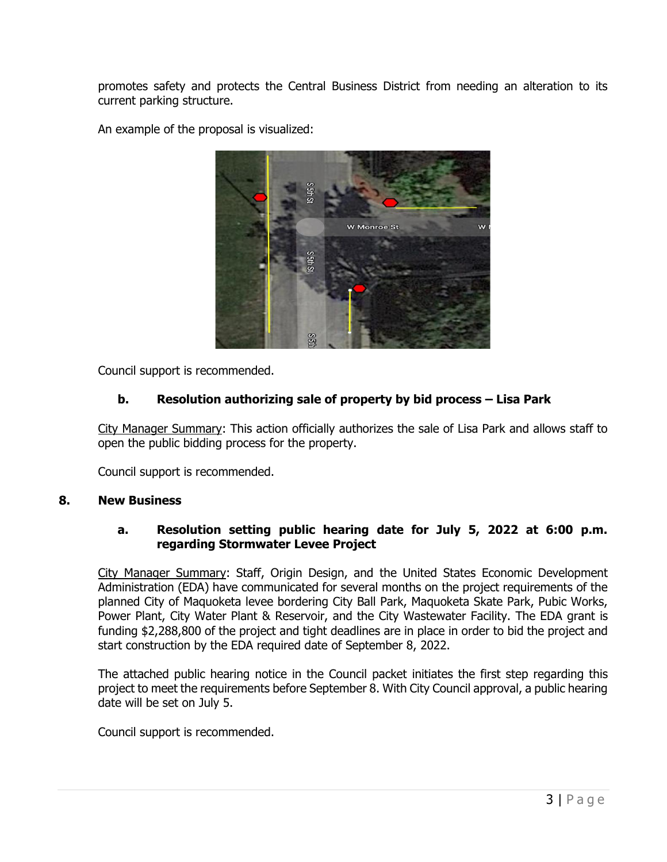promotes safety and protects the Central Business District from needing an alteration to its current parking structure.

An example of the proposal is visualized:



Council support is recommended.

# **b. Resolution authorizing sale of property by bid process – Lisa Park**

City Manager Summary: This action officially authorizes the sale of Lisa Park and allows staff to open the public bidding process for the property.

Council support is recommended.

### **8. New Business**

## **a. Resolution setting public hearing date for July 5, 2022 at 6:00 p.m. regarding Stormwater Levee Project**

City Manager Summary: Staff, Origin Design, and the United States Economic Development Administration (EDA) have communicated for several months on the project requirements of the planned City of Maquoketa levee bordering City Ball Park, Maquoketa Skate Park, Pubic Works, Power Plant, City Water Plant & Reservoir, and the City Wastewater Facility. The EDA grant is funding \$2,288,800 of the project and tight deadlines are in place in order to bid the project and start construction by the EDA required date of September 8, 2022.

The attached public hearing notice in the Council packet initiates the first step regarding this project to meet the requirements before September 8. With City Council approval, a public hearing date will be set on July 5.

Council support is recommended.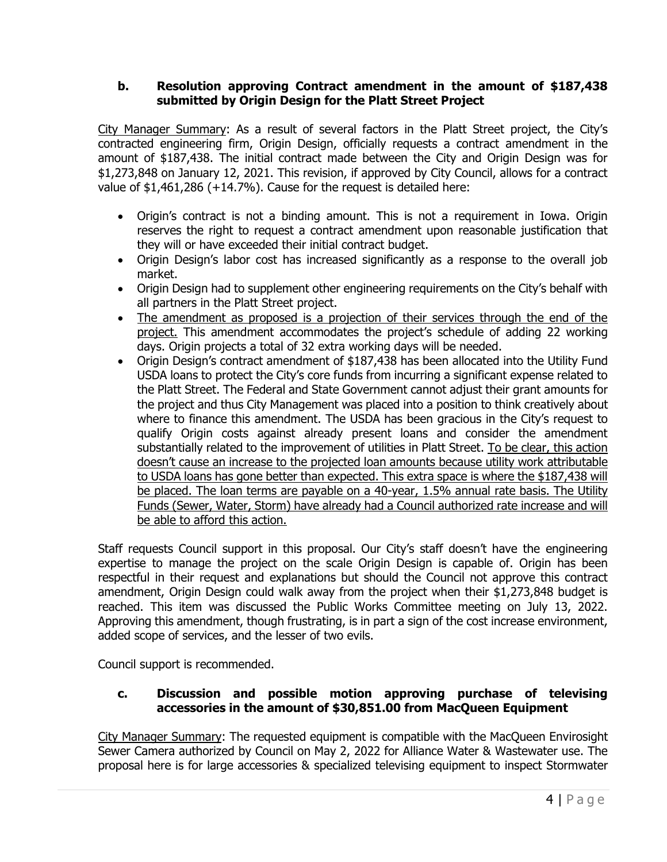## **b. Resolution approving Contract amendment in the amount of \$187,438 submitted by Origin Design for the Platt Street Project**

City Manager Summary: As a result of several factors in the Platt Street project, the City's contracted engineering firm, Origin Design, officially requests a contract amendment in the amount of \$187,438. The initial contract made between the City and Origin Design was for \$1,273,848 on January 12, 2021. This revision, if approved by City Council, allows for a contract value of \$1,461,286 (+14.7%). Cause for the request is detailed here:

- Origin's contract is not a binding amount. This is not a requirement in Iowa. Origin reserves the right to request a contract amendment upon reasonable justification that they will or have exceeded their initial contract budget.
- Origin Design's labor cost has increased significantly as a response to the overall job market.
- Origin Design had to supplement other engineering requirements on the City's behalf with all partners in the Platt Street project.
- The amendment as proposed is a projection of their services through the end of the project. This amendment accommodates the project's schedule of adding 22 working days. Origin projects a total of 32 extra working days will be needed.
- Origin Design's contract amendment of \$187,438 has been allocated into the Utility Fund USDA loans to protect the City's core funds from incurring a significant expense related to the Platt Street. The Federal and State Government cannot adjust their grant amounts for the project and thus City Management was placed into a position to think creatively about where to finance this amendment. The USDA has been gracious in the City's request to qualify Origin costs against already present loans and consider the amendment substantially related to the improvement of utilities in Platt Street. To be clear, this action doesn't cause an increase to the projected loan amounts because utility work attributable to USDA loans has gone better than expected. This extra space is where the \$187,438 will be placed. The loan terms are payable on a 40-year, 1.5% annual rate basis. The Utility Funds (Sewer, Water, Storm) have already had a Council authorized rate increase and will be able to afford this action.

Staff requests Council support in this proposal. Our City's staff doesn't have the engineering expertise to manage the project on the scale Origin Design is capable of. Origin has been respectful in their request and explanations but should the Council not approve this contract amendment, Origin Design could walk away from the project when their \$1,273,848 budget is reached. This item was discussed the Public Works Committee meeting on July 13, 2022. Approving this amendment, though frustrating, is in part a sign of the cost increase environment, added scope of services, and the lesser of two evils.

Council support is recommended.

## **c. Discussion and possible motion approving purchase of televising accessories in the amount of \$30,851.00 from MacQueen Equipment**

City Manager Summary: The requested equipment is compatible with the MacQueen Envirosight Sewer Camera authorized by Council on May 2, 2022 for Alliance Water & Wastewater use. The proposal here is for large accessories & specialized televising equipment to inspect Stormwater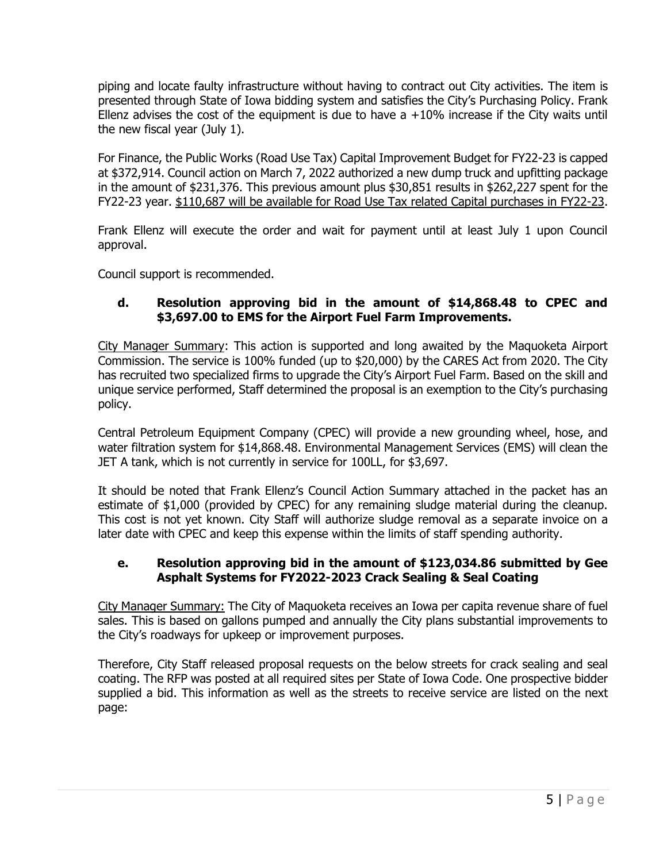piping and locate faulty infrastructure without having to contract out City activities. The item is presented through State of Iowa bidding system and satisfies the City's Purchasing Policy. Frank Ellenz advises the cost of the equipment is due to have  $a + 10\%$  increase if the City waits until the new fiscal year (July 1).

For Finance, the Public Works (Road Use Tax) Capital Improvement Budget for FY22-23 is capped at \$372,914. Council action on March 7, 2022 authorized a new dump truck and upfitting package in the amount of \$231,376. This previous amount plus \$30,851 results in \$262,227 spent for the FY22-23 year. \$110,687 will be available for Road Use Tax related Capital purchases in FY22-23.

Frank Ellenz will execute the order and wait for payment until at least July 1 upon Council approval.

Council support is recommended.

# **d. Resolution approving bid in the amount of \$14,868.48 to CPEC and \$3,697.00 to EMS for the Airport Fuel Farm Improvements.**

City Manager Summary: This action is supported and long awaited by the Maquoketa Airport Commission. The service is 100% funded (up to \$20,000) by the CARES Act from 2020. The City has recruited two specialized firms to upgrade the City's Airport Fuel Farm. Based on the skill and unique service performed, Staff determined the proposal is an exemption to the City's purchasing policy.

Central Petroleum Equipment Company (CPEC) will provide a new grounding wheel, hose, and water filtration system for \$14,868.48. Environmental Management Services (EMS) will clean the JET A tank, which is not currently in service for 100LL, for \$3,697.

It should be noted that Frank Ellenz's Council Action Summary attached in the packet has an estimate of \$1,000 (provided by CPEC) for any remaining sludge material during the cleanup. This cost is not yet known. City Staff will authorize sludge removal as a separate invoice on a later date with CPEC and keep this expense within the limits of staff spending authority.

## **e. Resolution approving bid in the amount of \$123,034.86 submitted by Gee Asphalt Systems for FY2022-2023 Crack Sealing & Seal Coating**

City Manager Summary: The City of Maquoketa receives an Iowa per capita revenue share of fuel sales. This is based on gallons pumped and annually the City plans substantial improvements to the City's roadways for upkeep or improvement purposes.

Therefore, City Staff released proposal requests on the below streets for crack sealing and seal coating. The RFP was posted at all required sites per State of Iowa Code. One prospective bidder supplied a bid. This information as well as the streets to receive service are listed on the next page: